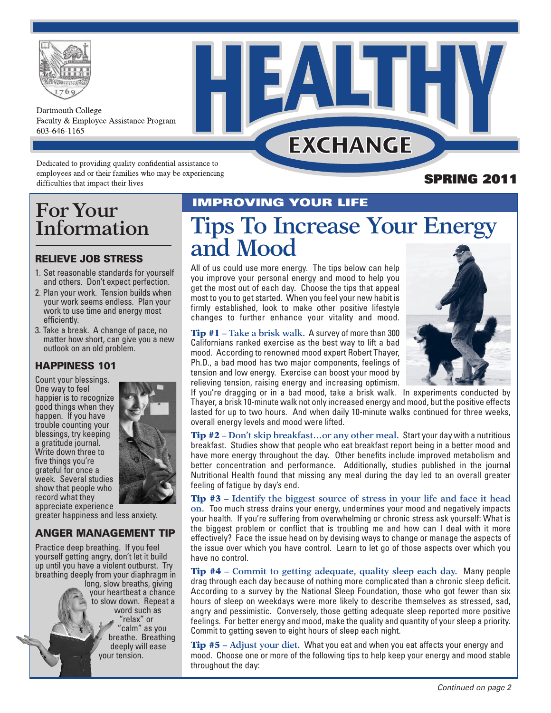

Dartmouth College Faculty & Employee Assistance Program 603-646-1165

## **EXCHANGE**

Dedicated to providing quality confidential assistance to employees and or their families who may be experiencing difficulties that impact their lives

### **For Your COUR LIFE Information**

#### **RELIEVE JOB STRESS**

- 1. Set reasonable standards for yourself and others. Don't expect perfection.
- 2. Plan your work. Tension builds when your work seems endless. Plan your work to use time and energy most efficiently.
- 3. Take a break. A change of pace, no matter how short, can give you a new outlook on an old problem.

#### **HAPPINESS 101**

Count your blessings. One way to feel happier is to recognize good things when they happen. If you have trouble counting your blessings, try keeping a gratitude journal. Write down three to five things you're grateful for once a week. Several studies show that people who record what they appreciate experience



greater happiness and less anxiety.

#### **ANGER MANAGEMENT TIP**

Practice deep breathing. If you feel yourself getting angry, don't let it build up until you have a violent outburst. Try breathing deeply from your diaphragm in long, slow breaths, giving your heartbeat a chance to slow down. Repeat a word such as "relax" or 'calm" as you breathe. Breathing deeply will ease your tension.

# **Tips To Increase Your Energy and Mood**

All of us could use more energy. The tips below can help you improve your personal energy and mood to help you get the most out of each day. Choose the tips that appeal most to you to get started. When you feel your new habit is firmly established, look to make other positive lifestyle changes to further enhance your vitality and mood.

Tip #1 **– Take a brisk walk.** A survey of more than 300 Californians ranked exercise as the best way to lift a bad mood. According to renowned mood expert Robert Thayer, Ph.D., a bad mood has two major components, feelings of tension and low energy. Exercise can boost your mood by relieving tension, raising energy and increasing optimism.



**SPRING 2011**

If you're dragging or in a bad mood, take a brisk walk. In experiments conducted by Thayer, a brisk 10-minute walk not only increased energy and mood, but the positive effects lasted for up to two hours. And when daily 10-minute walks continued for three weeks, overall energy levels and mood were lifted.

Tip #2 **– Don't skip breakfast…or any other meal.** Start your day with a nutritious breakfast. Studies show that people who eat breakfast report being in a better mood and have more energy throughout the day. Other benefits include improved metabolism and better concentration and performance. Additionally, studies published in the journal Nutritional Health found that missing any meal during the day led to an overall greater feeling of fatigue by day's end.

Tip #3 **– Identify the biggest source of stress in your life and face it head on.** Too much stress drains your energy, undermines your mood and negatively impacts your health. If you're suffering from overwhelming or chronic stress ask yourself: What is the biggest problem or conflict that is troubling me and how can I deal with it more effectively? Face the issue head on by devising ways to change or manage the aspects of the issue over which you have control. Learn to let go of those aspects over which you have no control.

Tip #4 **– Commit to getting adequate, quality sleep each day.** Many people drag through each day because of nothing more complicated than a chronic sleep deficit. According to a survey by the National Sleep Foundation, those who got fewer than six hours of sleep on weekdays were more likely to describe themselves as stressed, sad, angry and pessimistic. Conversely, those getting adequate sleep reported more positive feelings. For better energy and mood, make the quality and quantity of your sleep a priority. Commit to getting seven to eight hours of sleep each night.

Tip #5 **– Adjust your diet.** What you eat and when you eat affects your energy and mood. Choose one or more of the following tips to help keep your energy and mood stable throughout the day: